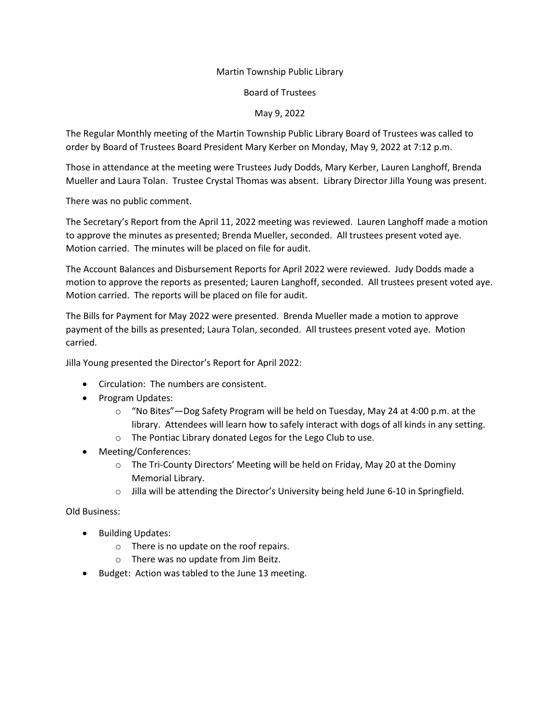## Martin Township Public Library

## Board of Trustees

## May 9, 2022

The Regular Monthly meeting of the Martin Township Public Library Board of Trustees was called to order by Board of Trustees Board President Mary Kerber on Monday, May 9, 2022 at 7:12 p.m.

Those in attendance at the meeting were Trustees Judy Dodds, Mary Kerber, Lauren Langhoff, Brenda Mueller and Laura Tolan. Trustee Crystal Thomas was absent. Library Director Jilla Young was present.

There was no public comment.

The Secretary's Report from the April 11, 2022 meeting was reviewed. Lauren Langhoff made a motion to approve the minutes as presented; Brenda Mueller, seconded. All trustees present voted aye. Motion carried. The minutes will be placed on file for audit.

The Account Balances and Disbursement Reports for April 2022 were reviewed. Judy Dodds made a motion to approve the reports as presented; Lauren Langhoff, seconded. All trustees present voted aye. Motion carried. The reports will be placed on file for audit.

The Bills for Payment for May 2022 were presented. Brenda Mueller made a motion to approve payment of the bills as presented; Laura Tolan, seconded. All trustees present voted aye. Motion carried.

Jilla Young presented the Director's Report for April 2022:

- Circulation: The numbers are consistent.
- Program Updates:
	- o "No Bites"—Dog Safety Program will be held on Tuesday, May 24 at 4:00 p.m. at the library. Attendees will learn how to safely interact with dogs of all kinds in any setting.
	- o The Pontiac Library donated Legos for the Lego Club to use.
- Meeting/Conferences:
	- o The Tri-County Directors' Meeting will be held on Friday, May 20 at the Dominy Memorial Library.
	- $\circ$  Jilla will be attending the Director's University being held June 6-10 in Springfield.

## Old Business:

- Building Updates:
	- o There is no update on the roof repairs.
	- o There was no update from Jim Beitz.
- Budget: Action was tabled to the June 13 meeting.